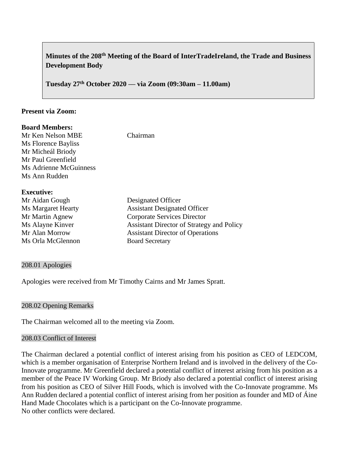# **Minutes of the 208th Meeting of the Board of InterTradeIreland, the Trade and Business Development Body**

**Tuesday 27th October 2020 –– via Zoom (09:30am – 11.00am)**

#### **Present via Zoom:**

| <b>Board Members:</b><br>Mr Ken Nelson MBE<br>Ms Florence Bayliss<br>Mr Micheál Briody<br>Mr Paul Greenfield<br>Ms Adrienne McGuinness<br>Ms Ann Rudden | Chairman                                                                                        |
|---------------------------------------------------------------------------------------------------------------------------------------------------------|-------------------------------------------------------------------------------------------------|
| <b>Executive:</b><br>Mr Aidan Gough<br>Ms Margaret Hearty<br>Mr Martin Agnew                                                                            | Designated Officer<br><b>Assistant Designated Officer</b><br><b>Corporate Services Director</b> |

Ms Orla McGlennon Board Secretary

# Ms Alayne Kinver **Assistant Director of Strategy and Policy** Mr Alan Morrow Assistant Director of Operations

#### 208.01 Apologies

Apologies were received from Mr Timothy Cairns and Mr James Spratt.

#### 208.02 Opening Remarks

The Chairman welcomed all to the meeting via Zoom.

#### 208.03 Conflict of Interest

The Chairman declared a potential conflict of interest arising from his position as CEO of LEDCOM, which is a member organisation of Enterprise Northern Ireland and is involved in the delivery of the Co-Innovate programme. Mr Greenfield declared a potential conflict of interest arising from his position as a member of the Peace IV Working Group. Mr Briody also declared a potential conflict of interest arising from his position as CEO of Silver Hill Foods, which is involved with the Co-Innovate programme. Ms Ann Rudden declared a potential conflict of interest arising from her position as founder and MD of Áine Hand Made Chocolates which is a participant on the Co-Innovate programme. No other conflicts were declared.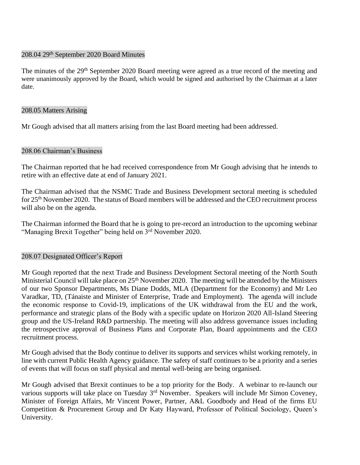#### 208.04 29th September 2020 Board Minutes

The minutes of the 29<sup>th</sup> September 2020 Board meeting were agreed as a true record of the meeting and were unanimously approved by the Board, which would be signed and authorised by the Chairman at a later date.

#### 208.05 Matters Arising

Mr Gough advised that all matters arising from the last Board meeting had been addressed.

#### 208.06 Chairman's Business

The Chairman reported that he had received correspondence from Mr Gough advising that he intends to retire with an effective date at end of January 2021.

The Chairman advised that the NSMC Trade and Business Development sectoral meeting is scheduled for 25<sup>th</sup> November 2020. The status of Board members will be addressed and the CEO recruitment process will also be on the agenda.

The Chairman informed the Board that he is going to pre-record an introduction to the upcoming webinar "Managing Brexit Together" being held on 3<sup>rd</sup> November 2020.

#### 208.07 Designated Officer's Report

Mr Gough reported that the next Trade and Business Development Sectoral meeting of the North South Ministerial Council will take place on 25<sup>th</sup> November 2020. The meeting will be attended by the Ministers of our two Sponsor Departments, Ms Diane Dodds, MLA (Department for the Economy) and Mr Leo Varadkar, TD, (Tánaiste and Minister of Enterprise, Trade and Employment). The agenda will include the economic response to Covid-19, implications of the UK withdrawal from the EU and the work, performance and strategic plans of the Body with a specific update on Horizon 2020 All-Island Steering group and the US-Ireland R&D partnership. The meeting will also address governance issues including the retrospective approval of Business Plans and Corporate Plan, Board appointments and the CEO recruitment process.

Mr Gough advised that the Body continue to deliver its supports and services whilst working remotely, in line with current Public Health Agency guidance. The safety of staff continues to be a priority and a series of events that will focus on staff physical and mental well-being are being organised.

Mr Gough advised that Brexit continues to be a top priority for the Body. A webinar to re-launch our various supports will take place on Tuesday  $3<sup>rd</sup>$  November. Speakers will include Mr Simon Coveney, Minister of Foreign Affairs, Mr Vincent Power, Partner, A&L Goodbody and Head of the firms EU Competition & Procurement Group and Dr Katy Hayward, Professor of Political Sociology, Queen's University.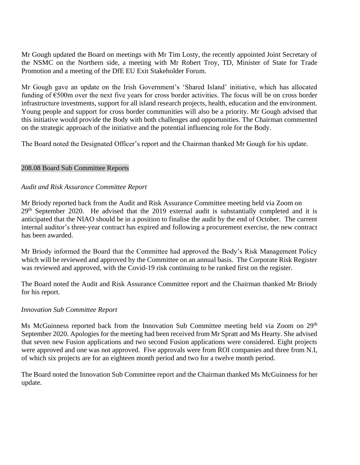Mr Gough updated the Board on meetings with Mr Tim Losty, the recently appointed Joint Secretary of the NSMC on the Northern side, a meeting with Mr Robert Troy, TD, Minister of State for Trade Promotion and a meeting of the DfE EU Exit Stakeholder Forum.

Mr Gough gave an update on the Irish Government's 'Shared Island' initiative, which has allocated funding of €500m over the next five years for cross border activities. The focus will be on cross border infrastructure investments, support for all island research projects, health, education and the environment. Young people and support for cross border communities will also be a priority. Mr Gough advised that this initiative would provide the Body with both challenges and opportunities. The Chairman commented on the strategic approach of the initiative and the potential influencing role for the Body.

The Board noted the Designated Officer's report and the Chairman thanked Mr Gough for his update.

# 208.08 Board Sub Committee Reports

# *Audit and Risk Assurance Committee Report*

Mr Briody reported back from the Audit and Risk Assurance Committee meeting held via Zoom on 29<sup>th</sup> September 2020. He advised that the 2019 external audit is substantially completed and it is anticipated that the NIAO should be in a position to finalise the audit by the end of October. The current internal auditor's three-year contract has expired and following a procurement exercise, the new contract has been awarded.

Mr Briody informed the Board that the Committee had approved the Body's Risk Management Policy which will be reviewed and approved by the Committee on an annual basis. The Corporate Risk Register was reviewed and approved, with the Covid-19 risk continuing to be ranked first on the register.

The Board noted the Audit and Risk Assurance Committee report and the Chairman thanked Mr Briody for his report.

#### *Innovation Sub Committee Report*

Ms McGuinness reported back from the Innovation Sub Committee meeting held via Zoom on 29<sup>th</sup> September 2020. Apologies for the meeting had been received from Mr Spratt and Ms Hearty. She advised that seven new Fusion applications and two second Fusion applications were considered. Eight projects were approved and one was not approved. Five approvals were from ROI companies and three from N.I, of which six projects are for an eighteen month period and two for a twelve month period.

The Board noted the Innovation Sub Committee report and the Chairman thanked Ms McGuinness for her update.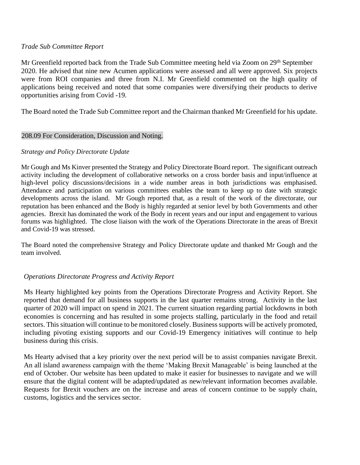#### *Trade Sub Committee Report*

Mr Greenfield reported back from the Trade Sub Committee meeting held via Zoom on 29<sup>th</sup> September 2020. He advised that nine new Acumen applications were assessed and all were approved. Six projects were from ROI companies and three from N.I. Mr Greenfield commented on the high quality of applications being received and noted that some companies were diversifying their products to derive opportunities arising from Covid -19.

The Board noted the Trade Sub Committee report and the Chairman thanked Mr Greenfield for his update.

#### 208.09 For Consideration, Discussion and Noting.

#### *Strategy and Policy Directorate Update*

Mr Gough and Ms Kinver presented the Strategy and Policy Directorate Board report. The significant outreach activity including the development of collaborative networks on a cross border basis and input/influence at high-level policy discussions/decisions in a wide number areas in both jurisdictions was emphasised. Attendance and participation on various committees enables the team to keep up to date with strategic developments across the island. Mr Gough reported that, as a result of the work of the directorate, our reputation has been enhanced and the Body is highly regarded at senior level by both Governments and other agencies. Brexit has dominated the work of the Body in recent years and our input and engagement to various forums was highlighted. The close liaison with the work of the Operations Directorate in the areas of Brexit and Covid-19 was stressed.

The Board noted the comprehensive Strategy and Policy Directorate update and thanked Mr Gough and the team involved.

# *Operations Directorate Progress and Activity Report*

Ms Hearty highlighted key points from the Operations Directorate Progress and Activity Report. She reported that demand for all business supports in the last quarter remains strong. Activity in the last quarter of 2020 will impact on spend in 2021. The current situation regarding partial lockdowns in both economies is concerning and has resulted in some projects stalling, particularly in the food and retail sectors. This situation will continue to be monitored closely. Business supports will be actively promoted, including pivoting existing supports and our Covid-19 Emergency initiatives will continue to help business during this crisis.

Ms Hearty advised that a key priority over the next period will be to assist companies navigate Brexit. An all island awareness campaign with the theme 'Making Brexit Manageable' is being launched at the end of October. Our website has been updated to make it easier for businesses to navigate and we will ensure that the digital content will be adapted/updated as new/relevant information becomes available. Requests for Brexit vouchers are on the increase and areas of concern continue to be supply chain, customs, logistics and the services sector.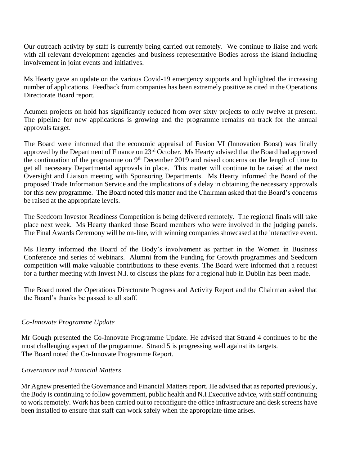Our outreach activity by staff is currently being carried out remotely. We continue to liaise and work with all relevant development agencies and business representative Bodies across the island including involvement in joint events and initiatives.

Ms Hearty gave an update on the various Covid-19 emergency supports and highlighted the increasing number of applications. Feedback from companies has been extremely positive as cited in the Operations Directorate Board report.

Acumen projects on hold has significantly reduced from over sixty projects to only twelve at present. The pipeline for new applications is growing and the programme remains on track for the annual approvals target.

The Board were informed that the economic appraisal of Fusion VI (Innovation Boost) was finally approved by the Department of Finance on 23<sup>rd</sup> October. Ms Hearty advised that the Board had approved the continuation of the programme on  $9<sup>th</sup>$  December 2019 and raised concerns on the length of time to get all necessary Departmental approvals in place. This matter will continue to be raised at the next Oversight and Liaison meeting with Sponsoring Departments. Ms Hearty informed the Board of the proposed Trade Information Service and the implications of a delay in obtaining the necessary approvals for this new programme. The Board noted this matter and the Chairman asked that the Board's concerns be raised at the appropriate levels.

The Seedcorn Investor Readiness Competition is being delivered remotely. The regional finals will take place next week. Ms Hearty thanked those Board members who were involved in the judging panels. The Final Awards Ceremony will be on-line, with winning companies showcased at the interactive event.

Ms Hearty informed the Board of the Body's involvement as partner in the Women in Business Conference and series of webinars. Alumni from the Funding for Growth programmes and Seedcorn competition will make valuable contributions to these events. The Board were informed that a request for a further meeting with Invest N.I. to discuss the plans for a regional hub in Dublin has been made.

The Board noted the Operations Directorate Progress and Activity Report and the Chairman asked that the Board's thanks be passed to all staff.

# *Co-Innovate Programme Update*

Mr Gough presented the Co-Innovate Programme Update. He advised that Strand 4 continues to be the most challenging aspect of the programme. Strand 5 is progressing well against its targets. The Board noted the Co-Innovate Programme Report.

#### *Governance and Financial Matters*

Mr Agnew presented the Governance and Financial Matters report. He advised that as reported previously, the Body is continuing to follow government, public health and N.I Executive advice, with staff continuing to work remotely. Work has been carried out to reconfigure the office infrastructure and desk screens have been installed to ensure that staff can work safely when the appropriate time arises.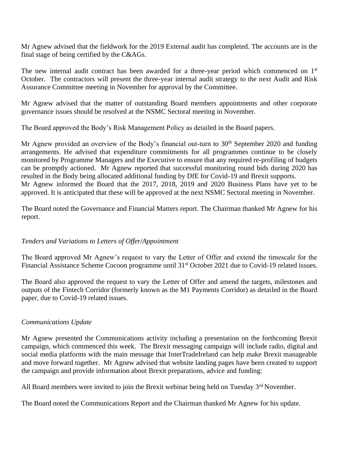Mr Agnew advised that the fieldwork for the 2019 External audit has completed. The accounts are in the final stage of being certified by the C&AGs.

The new internal audit contract has been awarded for a three-year period which commenced on 1<sup>st</sup> October. The contractors will present the three-year internal audit strategy to the next Audit and Risk Assurance Committee meeting in November for approval by the Committee.

Mr Agnew advised that the matter of outstanding Board members appointments and other corporate governance issues should be resolved at the NSMC Sectoral meeting in November.

The Board approved the Body's Risk Management Policy as detailed in the Board papers.

Mr Agnew provided an overview of the Body's financial out-turn to  $30<sup>th</sup>$  September 2020 and funding arrangements. He advised that expenditure commitments for all programmes continue to be closely monitored by Programme Managers and the Executive to ensure that any required re-profiling of budgets can be promptly actioned. Mr Agnew reported that successful monitoring round bids during 2020 has resulted in the Body being allocated additional funding by DfE for Covid-19 and Brexit supports. Mr Agnew informed the Board that the 2017, 2018, 2019 and 2020 Business Plans have yet to be approved. It is anticipated that these will be approved at the next NSMC Sectoral meeting in November.

The Board noted the Governance and Financial Matters report. The Chairman thanked Mr Agnew for his report.

#### *Tenders and Variations to Letters of Offer/Appointment*

The Board approved Mr Agnew's request to vary the Letter of Offer and extend the timescale for the Financial Assistance Scheme Cocoon programme until 31<sup>st</sup> October 2021 due to Covid-19 related issues.

The Board also approved the request to vary the Letter of Offer and amend the targets, milestones and outputs of the Fintech Corridor (formerly known as the M1 Payments Corridor) as detailed in the Board paper, due to Covid-19 related issues.

#### *Communications Update*

Mr Agnew presented the Communications activity including a presentation on the forthcoming Brexit campaign, which commenced this week. The Brexit messaging campaign will include radio, digital and social media platforms with the main message that InterTradeIreland can help make Brexit manageable and move forward together. Mr Agnew advised that website landing pages have been created to support the campaign and provide information about Brexit preparations, advice and funding:

All Board members were invited to join the Brexit webinar being held on Tuesday  $3<sup>rd</sup>$  November.

The Board noted the Communications Report and the Chairman thanked Mr Agnew for his update.